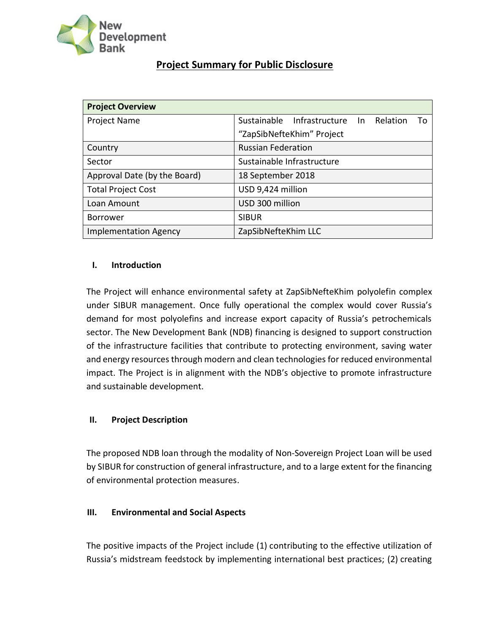

# **Project Summary for Public Disclosure**

| <b>Project Overview</b>      |                                              |  |
|------------------------------|----------------------------------------------|--|
| Project Name                 | Sustainable Infrastructure In Relation<br>Τo |  |
|                              | "ZapSibNefteKhim" Project                    |  |
| Country                      | <b>Russian Federation</b>                    |  |
| Sector                       | Sustainable Infrastructure                   |  |
| Approval Date (by the Board) | 18 September 2018                            |  |
| <b>Total Project Cost</b>    | USD 9,424 million                            |  |
| Loan Amount                  | USD 300 million                              |  |
| <b>Borrower</b>              | <b>SIBUR</b>                                 |  |
| <b>Implementation Agency</b> | ZapSibNefteKhim LLC                          |  |

## **I. Introduction**

The Project will enhance environmental safety at ZapSibNefteKhim polyolefin complex under SIBUR management. Once fully operational the complex would cover Russia's demand for most polyolefins and increase export capacity of Russia's petrochemicals sector. The New Development Bank (NDB) financing is designed to support construction of the infrastructure facilities that contribute to protecting environment, saving water and energy resources through modern and clean technologies for reduced environmental impact. The Project is in alignment with the NDB's objective to promote infrastructure and sustainable development.

# **II. Project Description**

The proposed NDB loan through the modality of Non-Sovereign Project Loan will be used by SIBUR for construction of general infrastructure, and to a large extent for the financing of environmental protection measures.

#### **III. Environmental and Social Aspects**

The positive impacts of the Project include (1) contributing to the effective utilization of Russia's midstream feedstock by implementing international best practices; (2) creating